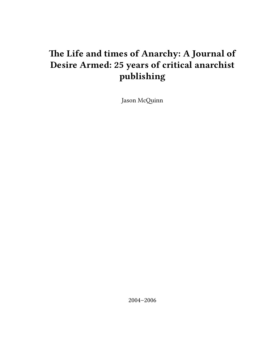# **The Life and times of Anarchy: A Journal of Desire Armed: 25 years of critical anarchist publishing**

Jason McQuinn

2004–2006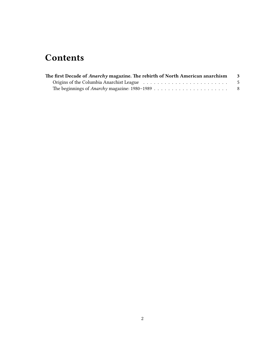## **Contents**

| The first Decade of Anarchy magazine. The rebirth of North American anarchism | $_{3}$ |
|-------------------------------------------------------------------------------|--------|
|                                                                               | - 5    |
|                                                                               | - 8    |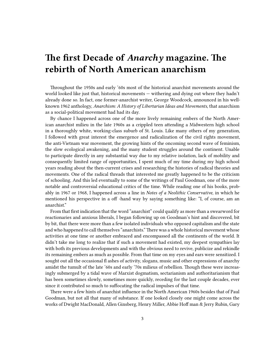## <span id="page-2-0"></span>**The first Decade of** *Anarchy* **magazine. The rebirth of North American anarchism**

Throughout the 1950s and early '60s most of the historical anarchist movements around the world looked like just that, historical movements — withering and dying out where they hadn't already done so. In fact, one former-anarchist writer, George Woodcock, announced in his wellknown 1962 anthology, *Anarchism: A History of Libertarian Ideas and Movements*, that anarchism as a social-political movement had had its day.

By chance I happened across one of the more lively remaining embers of the North American anarchist milieu in the late 1960s as a crippled teen attending a Midwestern high school in a thoroughly white, working-class suburb of St. Louis. Like many others of my generation, I followed with great interest the emergence and radicalization of the civil rights movement, the anti-Vietnam war movement, the growing hints of the oncoming second wave of feminism, the slow ecological awakening, and the many student struggles around the continent. Unable to participate directly in any substantial way due to my relative isolation, lack of mobility and consequently limited range of opportunities, I spent much of my time during my high school years reading about the then-current crises and researching the histories of radical theories and movements. One of the radical threads that interested me greatly happened to be the criticism of schooling. And this led eventually to some of the writings of Paul Goodman, one of the more notable and controversial educational critics of the time. While reading one of his books, probably in 1967 or 1968, I happened across a line in *Notes of a Neolithic Conservative*, in which he mentioned his perspective in a off -hand way by saying something like: "I, of course, am an anarchist."

From that first indication that the word "anarchist" could qualify as more than a swearword for reactionaries and anxious liberals, I began following up on Goodman's hint and discovered, bit by bit, that there were more than a few isolated individuals who opposed capitalism and the state and who happened to call themselves "anarchists." There was a whole historical movement whose activities at one time or another embraced and encompassed all the continents of the world. It didn't take me long to realize that if such a movement had existed, my deepest sympathies lay with both its previous developments and with the obvious need to revive, publicize and rekindle its remaining embers as much as possible. From that time on my eyes and ears were sensitized. I sought out all the occasional fl ashes of activity, slogans, music and other expressions of anarchy amidst the tumult of the late '60s and early '70s milieus of rebellion. Though these were increasingly submerged by a tidal wave of Marxist dogmatism, sectarianism and authoritarianism that has been sometimes slowly, sometimes more quickly, receding for the last couple decades, ever since it contributed so much to suffocating the radical impulses of that time.

There were a few hints of anarchist influence in the North American 1960s besides that of Paul Goodman, but not all that many of substance. If one looked closely one might come across the works of Dwight MacDonald, Allen Ginsberg, Henry Miller, Abbie Hoff man & Jerry Rubin, Gary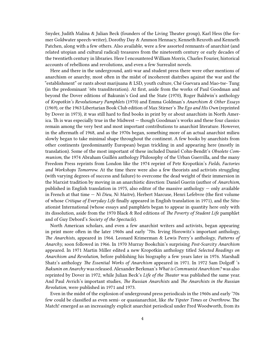Snyder, Judith Malina & Julian Beck (founders of the Living Theater group), Karl Hess (the former Goldwater speech-writer), Dorothy Day & Ammon Hennacy, Kenneth Rexroth and Kenneth Patchen, along with a few others. Also available, were a few assorted remnants of anarchist (and related utopian and cultural radical) treasures from the nineteenth century or early decades of the twentieth century in libraries. Here I encountered William Morris, Charles Fourier, historical accounts of rebellions and revolutions, and even a few Surrealist novels.

Here and there in the underground, anti-war and student press there were other mentions of anarchism or anarchy, most often in the midst of incoherent diatribes against the war and the "establishment" or rants about marijuana & LSD, youth culture, Ché Guevara and Mao-tse- Tung (in the predominant '60s transliteration). At first, aside from the works of Paul Goodman and beyond the Dover editions of Bakunin's God and the State (1970), Roger Baldwin's anthology of *Kropotkin's Revolutionary Pamphlets* (1970) and Emma Goldman's *Anarchism & Other Essays* (1969), or the 1963 Libertarian Book Club edition of Max Stirner's *The Ego and His Own* (reprinted by Dover in 1973), it was still hard to find books in print by or about anarchists in North America. Th is was especially true in the Midwest — though Goodman's works and these four classics remain among the very best and most important contributions to anarchist literature. However, in the aftermath of 1968, and as the 1970s began, something more of an actual anarchist milieu slowly began to take minimal shape throughout the continent. A few books by anarchists from other continents (predominantly European) began trickling in and appearing here (mostly in translation). Some of the most important of these included Daniel Cohn-Bendit's *Obsolete Communism*, the 1974 Abraham Guillén anthology Philosophy of the Urban Guerrilla, and the many Freedom Press reprints from London like the 1974 reprint of Petr Kropotkin's *Fields, Factories and Workshops Tomorrow*. At the time there were also a few theorists and activists struggling (with varying degrees of success and failure) to overcome the dead weight of their immersion in the Marxist tradition by moving in an anarchistic direction: Daniel Guerin (author of *Anarchism*, published in English translation in 1975, also editor of the massive anthology — only available in French at that time — *Ni Dieu, Ni Maitre*), Herbert Marcuse, Henri Lefebvre (the first volume of whose *Critique of Everyday Life* finally appeared in English translation in 1971), and the Situationist International (whose essays and pamphlets began to appear in quantity here only with its dissolution, aside from the 1970 Black & Red editions of *The Poverty of Student Life* pamphlet and of Guy Debord's *Society of the Spectacle*).

North American scholars, and even a few anarchist writers and activists, began appearing in print more often in the later 1960s and early '70s. Irving Horowitz's important anthology, *The Anarchists*, appeared in 1964. Leonard Krimerman & Lewis Perry's anthology, *Patterns of Anarchy*, soon followed in 1966. In 1970 Murray Bookchin's surprising *Post-Scarcity Anarchism* appeared. In 1971 Martin Miller edited a new Kropotkin anthology titled *Selected Readings on Anarchism and Revolution*, before publishing his biography a few years later in 1976. Marshall Shatz's anthology *The Essential Works of Anarchism* appeared in 1971. In 1972 Sam Dolgoff 's *Bakunin on Anarchy* was released. Alexander Berkman's *What is Communist Anarchism?* was also reprinted by Dover in 1972, while Julian Beck's *Life of the Theater* was published the same year. And Paul Avrich's important studies, *The Russian Anarchists* and *The Anarchists in the Russian Revolution*, were published in 1971 and 1973.

Even in the midst of the explosion of underground press periodicals in the 1960s and early '70s few could be classified as even semi- or quasianarchist, like *the Yipster Times* or *Overthrow*. The Match! emerged as an increasingly explicit anarchist periodical under Fred Woodworth, from its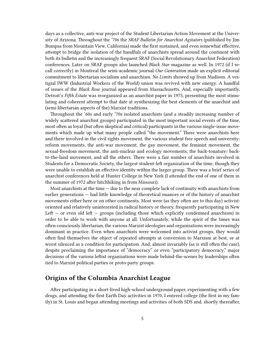days as a collective, anti-war project of the Student Libertarian Action Movement at the University of Arizona. Throughout the '70s the *SRAF Bulletin for Anarchist Agitators* (published by Jim Bumpas from Mountain View, California) made the first sustained, and even somewhat effective, attempt to bridge the isolation of the handfuls of anarchists spread around the continent with both its bulletin and the increasingly frequent SRAF (Social Revolutionary Anarchist Federation) conferences. Later on SRAF groups also launched *Black Star* magazine as well. In 1972 (if I recall correctly) in Montreal the semi-academic journal *Our Generation* made an explicit editorial commitment to libertarian socialism and anarchism. *No Limits* showed up from Madison. A vestigial IWW (Industrial Workers of the World) union was revived with new energy. A handful of issues of the *Black Rose* journal appeared from Massachusetts. And, especially importantly, Detroit's *Fifth Estate* was reorganized as an anarchist paper in 1975, presenting the most stimulating and coherent attempt to that date at synthesizing the best elements of the anarchist and (semi-libertarian aspects of the) Marxist traditions.

Throughout the '60s and early '70s isolated anarchists (and a steadily increasing number of widely scattered anarchist groups) participated in the most important social events of the time, most often as loyal (but often skeptical and critical) participants in the various single-issue movements which made up what many people called "the movement." There were anarchists here and there involved in the civil rights movement, the various student free speech and universityreform movements, the anti-war movement, the gay movement, the feminist movement, the sexual-freedom movement, the anti-nuclear and ecology movements, the back-tonature/ backto-the-land movement, and all the others. There were a fair number of anarchists involved in Students for a Democratic Society, the largest student-left organization of the time, though they were unable to establish an effective identity within the larger group. There was a brief series of anarchist conferences held at Hunter College in New York (I attended the end of one of them in the summer of 1972 after hitchhiking in from Missouri).

Most anarchists at the time — due to the near complete lack of continuity with anarchists from earlier generations — had little knowledge of theoretical nuances or of the history of anarchist movements either here or on other continents. Most were (as they often are to this day) activistoriented and relatively uninterested in radical history or theory, frequently participating in New Left – or even old left – groups (including those which explicitly condemned anarchism) in order to be able to work with anyone at all. Unfortunately, while the spirit of the times was often consciously libertarian, the various Marxist ideologies and organizations were increasingly dominant in practice. Even when anarchists were welcomed into activist groups, they would often find themselves the object of repeated attempts at conversion to Marxism at best, or at worst silenced as a condition for participation. And, almost invariably (as is still often the case), despite proclaiming the importance of "democracy" or even "participatory democracy," major decisions of the various leftist organizations were made behind-the-scenes by leaderships often tied to Marxist political parties or proto-party groups.

#### <span id="page-4-0"></span>**Origins of the Columbia Anarchist League**

After participating in a short-lived high-school underground paper, experimenting with a few drugs, and attending the first Earth Day activities in 1970, I entered college (the first in my family) in St. Louis and began attending meetings and activities of both SDS and, shortly thereafter,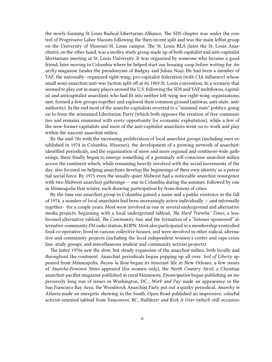the newly-forming St Louis Radical Libertarian Alliance. The SDS chapter was under the control of Progressive Labor Maoists following the then-recent split and was the main leftist group on the University of Missouri-St. Louis campus. The St. Louis RLA (later the St. Louis Anarchists), on the other hand, was a motley study group made up of both capitalist and anti-capitalist libertarians meeting at St. Louis University. It was organized by someone who became a good friend, later moving to Columbia where he helped start our housing coop before writing for *Anarchy* magazine (under the pseudonyms of Badguy and Julian Noa). He had been a member of YAF, the nationally- organized right-wing, pro-capitalist federation (with CIA influence) whose small semi-anarchist/anti-war faction split off at its 1969 St. Louis convention. In a scenario that seemed to play out in many places around the U.S. following the SDS and YAF meltdowns, capitalist and anticapitalist anarchists who had fit into neither left-wing nor right-wing organizations, met, formed a few groups together and explored their common ground (antiwar, anti-state, antiauthority). In the end most of the anarcho-capitalists reverted to a "minimal state" politics, going on to form the misnamed Libertarian Party (which both opposes the creation of free communities and remains enamored with every opportunity for economic exploitation), while a few of the now-former capitalists and most of the anti-capitalist anarchists went on to work and play within the nascent anarchist milieu.

By the mid-70s with the increasing proliferation of local anarchist groups (including ours established in 1974 in Columbia, Missouri), the development of a growing network of anarchistidentified periodicals, and the organization of more and more regional and continent-wide gatherings, there finally began to emerge something of a genuinely self-conscious anarchist milieu across the continent which, while remaining heavily involved with the social movements of the day, also focused on helping anarchists develop the beginnings of their own identity as a potential social force. By 1975 even the usually-quiet Midwest had a noticeable anarchist resurgence with two Midwest anarchist gatherings — one in Columbia during the summer, followed by one in Minneapolis that winter, each drawing participation by from dozens of cities.

By the time our anarchist group in Columbia gained a name and a public existence in the fall of 1974, a number of local anarchists had been increasingly active individually  $-$  and informally together- -for a couple years. Most were involved in one or several underground and alternative media projects, beginning with a local underground tabloid, *The Hard Travelin' Times*, a lessfocused alternative tabloid, *The Community Sun*, and the formation of a "listener-sponsored" alternative community FM radio station, KOPN. Most also participated in a membership-controlled food co-operative, lived in various collective houses, and were involved in other radical, alternative and community projects (including the local independent women's center and rape-crisis line, study groups, and miscellaneous student and community activist projects).

The latter 1970s saw the slow, but steady expansion of the anarchist milieu, both locally and throughout the continent. Anarchist periodicals began popping up all over. *Soil of Liberty* appeared from Minneapolis, *Bayou la Rose* began its itinerant life in New Orleans, a few issues of *Anarcha-Feminist Notes* appeared (for women only), the *North Country Anvil*, a Christian anarchist-pacifist magazine published in rural Minnesota, *Emancipation* began publishing an impressively long run of issues in Washington, DC., *Work and Pay* made an appearance in the San Francisco Bay Area, the Woodstock Anarchist Party put out a quirky periodical, *Anarchy in Atlanta* made an energetic showing in the South, Open Road published an impressive, colorful activist-oriented tabloid from Vancouver, BC, *Bulldozer and Kick It Over* (which still occasion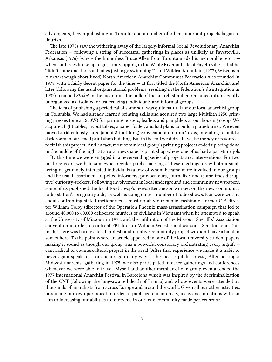ally appears) began publishing in Toronto, and a number of other important projects began to flourish.

The late 1970s saw the withering away of the largely-informal Social Revolutionary Anarchist Federation — following a string of successful gatherings in places as unlikely as Fayetteville, Arkansas (1976) [where the humorless Bruce Allen from Toronto made his memorable retort when conferees broke up to go skinnydipping in the White River outside of Fayetteville — that he "didn't come one thousand miles just to go swimming!"] and Wildcat Mountain (1977), Wisconsin. A new (though short-lived) North American Anarchist Communist Federation was founded in 1978, with a fairly decent paper for the time — at first titled the North American Anarchist and later (following the usual organizational problems, resulting in the federation's disintegration in 1982) renamed *Strike!* In the meantime, the bulk of the anarchist milieu remained intransigently unorganized as (isolated or fraternizing) individuals and informal groups.

The idea of publishing a periodical of some sort was quite natural for our local anarchist group in Columbia. We had already learned printing skills and acquired two large Multilith 1250 printing presses (one a 1250W) for printing posters, leaflets and pamphlets at our housing co-op. We acquired light tables, layout tables, a paper folder, and had plans to build a plate-burner. We even moved a ridiculously large (about 8-foot-long) copy camera up from Texas, intending to build a dark room in our small print shop building. But in the end we didn't have the money or resources to finish this project. And, in fact, most of our local group's printing projects ended up being done in the middle of the night at a rural newspaper's print shop where one of us had a part-time job.

By this time we were engaged in a never-ending series of projects and interventions. For two or three years we held somewhat regular public meetings. These meetings drew both a smattering of genuinely interested individuals (a few of whom became more involved in our group) and the usual assortment of police informers, provocateurs, journalists and (sometimes disruptive) curiosity-seekers. Following involvement in local underground and community newspapers, some of us published the local food co-op's newsletter and/or worked on the new community radio station's program guide, as well as doing quite a number of radio shows. Nor were we shy about confronting state functionaries — most notably our public trashing of former CIA director William Colby (director of the Operation Phoenix mass-assassination campaign that led to around 40,000 to 60,000 deliberate murders of civilians in Vietnam) when he attempted to speak at the University of Missouri in 1978, and the infiltration of the Missouri Sheriff s' Association convention in order to confront FBI director William Webster and Missouri Senator John Danforth. There was hardly a local protest or alternative community project we didn't have a hand in somewhere. To the point where an article appeared in one of the local university student papers making it sound as though our group was a powerful conspiracy orchestrating every signifi cant radical or countercultural project in the area! (After that experience we made it a habit to never again speak to  $-$  or encourage in any way  $-$  the local capitalist press.) After hosting a Midwest anarchist gathering in 1975, we also participated in other gatherings and conferences whenever we were able to travel. Myself and another member of our group even attended the 1977 International Anarchist Festival in Barcelona which was inspired by the decriminalization of the CNT (following the long-awaited death of Franco) and whose events were attended by thousands of anarchists from across Europe and around the world. Given all our other activities, producing our own periodical in order to publicize our interests, ideas and intentions with an aim to increasing our abilities to intervene in our own community made perfect sense.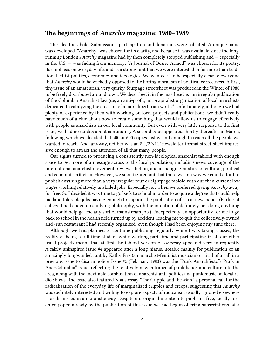#### <span id="page-7-0"></span>**The beginnings of** *Anarchy* **magazine: 1980–1989**

The idea took hold. Submissions, participation and donations were solicited. A unique name was developed. "Anarchy" was chosen for its clarity, and because it was available since the longrunning London *Anarchy* magazine had by then completely stopped publishing and — especially in the U.S. — was fading from memory; "A Journal of Desire Armed" was chosen for its poetry, its emphasis on everyday life, and as a strong hint that we were interested in far more than traditional leftist politics, economics and ideologies. We wanted it to be especially clear to everyone that *Anarchy* would be wickedly opposed to the boring moralism of political correctness. A first, tiny issue of an amateurish, very quirky, fourpage streetsheet was produced in the Winter of 1980 to be freely distributed around town. We described it in the masthead as "an irregular publication of the Columbia Anarchist League, an anti-profit, anti-capitalist organization of local anarchists dedicated to catalyzing the creation of a more libertarian world." Unfortunately, although we had plenty of experience by then with working on local projects and publications, we didn't really have much of a clue about how to create something that would allow us to engage effectively with people as anarchists in our local community. But even with very little response to the first issue, we had no doubts about continuing. A second issue appeared shortly thereafter in March, following which we decided that 500 or 600 copies just wasn't enough to reach all the people we wanted to reach. And, anyway, neither was an 8-1/2"x11" newsletter-format street-sheet impressive enough to attract the attention of all that many people.

Our sights turned to producing a consistently non-ideological anarchist tabloid with enough space to get more of a message across to the local population, including news coverage of the international anarchist movement, reviews, fiction, and a changing mixture of cultural, political and economic criticism. However, we soon figured out that there was no way we could afford to publish anything more than a very irregular four or eightpage tabloid with our then-current low wages working relatively unskilled jobs. Especially not when we preferred giving *Anarchy* away for free. So I decided it was time to go back to school in order to acquire a degree that could help me land tolerable jobs paying enough to support the publication of a real newspaper. (Earlier at college I had ended up studying philosophy, with the intention of definitely not doing anything that would help get me any sort of mainstream job.) Unexpectedly, an opportunity for me to go back to school in the health field turned up by accident, leading me to quit the collectively-owned and -run restaurant I had recently organized, even though I had been enjoying my time there.

Although we had planned to continue publishing regularly while I was taking classes, the reality of being a full-time student while working part-time and participating in all our other usual projects meant that at first the tabloid version of *Anarchy* appeared very infrequently. A fairly uninspired issue #4 appeared after a long hiatus, notable mainly for publication of an amazingly longwinded rant by Kathy Fire (an anarchist-feminist musician) critical of a call in a previous issue to disarm police. Issue #5 (February 1983) was the "Punk Anarchfesto"/"Punk in AnarColumbia" issue, reflecting the relatively new entrance of punk bands and culture into the area, along with the inevitable combination of anarchist anti-politics and punk music on local radio shows. The issue also featured Noa's essay "The Cripple and the Man," a personal call for the radicalization of the everyday life of marginalized cripples and creeps, suggesting that *Anarchy* was definitely interested and willing to explore aspects of radicalism usually ignored elsewhere — or dismissed in a moralistic way. Despite our original intention to publish a free, locally- oriented paper, already by the publication of this issue we had begun offering subscriptions (at a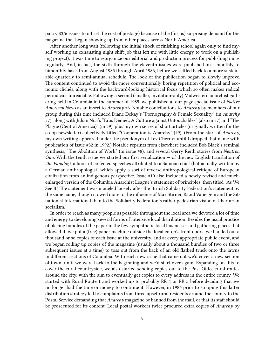paltry \$3/6 issues to off set the cost of postage) because of the (for us) surprising demand for the magazine that began showing up from other places across North America.

After another long wait (following the initial shock of finishing school again only to find myself working an exhausting night shift job that left me with little energy to work on a publishing project), it was time to reorganize our editorial and production process for publishing more regularly. And, in fact, the sixth through the eleventh issues were published on a monthly to bimonthly basis from August 1985 through April 1986, before we settled back to a more sustainable quarterly to semi-annual schedule. The look of the publication began to slowly improve. The content continued to avoid the more conventionally boring repetition of political and economic clichés, along with the backward-looking historical focus which so often makes radical periodicals unreadable. Following a second (smaller, invitation-only) Midwestern anarchist gathering held in Columbia in the summer of 1985, we published a four-page special issue of *Native American News* as an insert to *Anarchy* #6. Notable contributions to *Anarchy* by members of our group during this time included Diane Dekay's "Pornography & Female Sexuality" (in *Anarchy* #7), along with Julian Noa's "Eros Denied: A Culture against Untouchables" (also in #7) and "The Plague (Central America)" (in #9), plus my own series of short articles (originally written for the co-op newsletter) collectively titled "Cooperation is Anarchy" (#9). (From the start of *Anarchy*, my own writing appeared under the pseudonym of Lev Chernyi until I dropped that name with publication of issue #32 in 1992.) Notable reprints from elsewhere included Bob Black's seminal synthesis, "The Abolition of Work" (in issue #8), and several Gerry Reith stories from *Neutron Gun*. With the tenth issue we started our first serialization — of the new English translation of *The Papalagi*, a book of collected speeches attributed to a Samoan chief (but actually written by a German anthropologist) which apply a sort of reverse-anthropological critique of European civilization from an indigenous perspective. Issue #10 also included a newly revised and muchenlarged version of the Columbia Anarchist League's statement of principles, then titled "As We See It" The statement was modeled loosely after the British Solidarity Federation's statement by the same name, though it owed more to the influence of Max Stirner, Raoul Vaneigem and the Situationist International than to the Solidarity Federation's rather pedestrian vision of libertarian socialism.

In order to reach as many people as possible throughout the local area we devoted a lot of time and energy to developing several forms of intensive local distribution. Besides the usual practice of placing bundles of the paper in the few sympathetic local businesses and gathering places that allowed it, we put a (free) paper machine outside the local co-op's front doors, we handed out a thousand or so copies of each issue at the university, and at every appropriate public event, and we began rolling up copies of the magazine (usually about a thousand bundles of two or three subsequent issues at a time) to toss out from the back of an old flatbed truck onto the lawns in different sections of Columbia. With each new issue that came out we'd cover a new section of town, until we were back to the beginning and we'd start over again. Expanding on this to cover the rural countryside, we also started sending copies out to the Post Office rural routes around the city, with the aim to eventually get copies to every address in the entire county. We started with Rural Route 1 and worked up to probably RR 4 or RR 5 before deciding that we no longer had the time or money to continue it. However, in 1986 prior to stopping this latter distribution strategy led to complaints from three upset rural residents around the county to the Postal Service demanding that *Anarchy* magazine be banned from the mail, or that its staff should be prosecuted for its content. Local postal workers twice procured extra copies of *Anarchy* by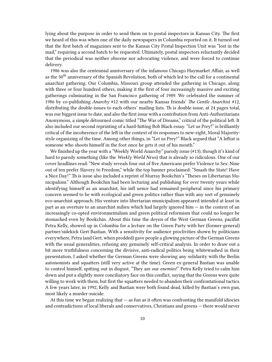lying about the purpose in order to send them on to postal inspectors in Kansas City. The first we heard of this was when one of the daily newspapers in Columbia reported on it. It turned out that the first batch of magazines sent to the Kansas City Postal Inspection Unit was "lost in the mail," requiring a second batch to be requested. Ultimately, postal inspectors reluctantly decided that the periodical was neither obscene nor advocating violence, and were forced to continue delivery.

1986 was also the centennial anniversary of the infamous Chicago Haymarket Affair, as well as the 50<sup>th</sup> anniversary of the Spanish Revolution, both of which led to the call for a continental anarchist gathering. Our Columbia, Missouri group attended the gathering in Chicago, along with three or four hundred others, making it the first of four increasingly massive and exciting gatherings culminating in the San Francisco gathering of 1989. We celebrated the summer of 1986 by co-publishing *Anarchy* #12 with our nearby Kansas friends' *The Gentle Anarchist* #12, distributing the double-issues to each others' mailing lists. Th is double-issue, at 24 pages total, was our biggest issue to date, and also the first issue with a contribution from Anti-Authoritarians Anonymous, a simple détourned comic titled "The War of Dreams," critical of the political left. It also included our second reprinting of a hard-hitting Bob Black essay. "Let us Prey!" is brilliantly critical of the incoherence of the left in the context of its responses to new-right, Moral Majoritystyle organizing of the time. Among other things, in "Let us Prey!" Black argued that "A leftist is someone who shoots himself in the foot once he gets it out of his mouth."

We finished up the year with a "Weekly World Anarchy" parody issue (#13), though it's kind of hard to parody something (like the *Weekly World News*) that is already so ridiculous. One of our cover headlines read: "New study reveals four out of five Americans prefer Violence to Sex: Nine out of ten prefer Slavery to Freedom," while the top banner proclaimed: "Smash the State! Have a Nice Day!" Th is issue also included a reprint of Murray Bookchin's "Theses on Libertarian Municipalism." Although Bookchin had been lecturing and publishing for over twenty years while identifying himself as an anarchist, his infl uence had remained peripheral since his primary concern seemed to be with ecological and green politics rather than with any sort of genuinely eco-anarchist approach. His venture into libertarian municipalism appeared intended at least in part as an overture to an anarchist milieu which had largely ignored him — in the context of an increasingly co-opted environmentalism and green political reformism that could no longer be stomached even by Bookchin. About this time the doyen of the West German Greens, pacifist Petra Kelly, showed up in Columbia for a lecture on the Green Party with her (former-general) partner/sidekick Gert Bastian. With a sensitivity for audience proclivities shown by politicians everywhere, Petra (and Gert, when prodded) gave people a glowing picture of the German Greens with the usual generalities, refusing any genuinely self-critical analysis. In order to draw out a bit more truthfulness concerning the divisive, anti-radical politics being whitewashed in their presentation, I asked whether the German Greens were showing any solidarity with the Berlin autonomists and squatters (still very active at the time). Green ex-general Bastian was unable to control himself, spitting out in disgust, "They are our *enemies*!" Petra Kelly tried to calm him down and put a slightly more conciliatory face on this conflict, saying that the Greens were quite willing to work with them, but first the squatters needed to abandon their confrontational tactics. A few years later, in 1992, Kelly and Bastian were both found dead, killed by Bastian's own gun, most likely a murder-suicide.

At this time we began realizing that  $-$  as fun as it often was confronting the manifold idiocies and contradictions of local liberals and conservatives, Christians and greens — there would never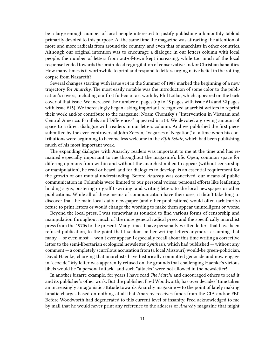be a large enough number of local people interested to justify publishing a bimonthly tabloid primarily devoted to this purpose. At the same time the magazine was attracting the attention of more and more radicals from around the country, and even that of anarchists in other countries. Although our original intention was to encourage a dialogue in our letters column with local people, the number of letters from out-of-town kept increasing, while too much of the local response tended towards the brain-dead regurgitation of conservative and/or Christian banalities. How many times is it worthwhile to print and respond to letters urging naive belief in the rotting corpse from Nazareth?

Several changes starting with issue #14 in the Summer of 1987 marked the beginning of a new trajectory for *Anarchy*. The most easily notable was the introduction of some color to the publication's covers, including our first full-color art work by Phil Lollar, which appeared on the back cover of that issue. We increased the number of pages (up to 28 pages with issue #14 and 32 pages with issue #15). We increasingly began asking important, recognized anarchist writers to reprint their work and/or contribute to the magazine: Noam Chomsky's "Intervention in Vietnam and Central America: Parallels and Differences" appeared in #14. We devoted a growing amount of space to a direct dialogue with readers in our letters column. And we published the first piece submitted by the ever-controversial John Zerzan, "Vagaries of Negation," at a time when his contributions were beginning to become less welcome in the *Fifth Estate*, which had been publishing much of his most important work.

The expanding dialogue with Anarchy readers was important to me at the time and has remained especially important to me throughout the magazine's life. Open, common space for differing opinions from within and without the anarchist milieu to appear (without censorship or manipulation), be read or heard, and for dialogues to develop, is an essential requirement for the growth of our mutual understanding. Before *Anarchy* was conceived, our means of public communication in Columbia were limited to our personal voices; personal efforts like leafleting, holding signs, postering or graffiti-writing; and writing letters to the local newspaper or other publications. While all of these means of communication have their uses, it didn't take long to discover that the main local daily newspaper (and other publications) would often (arbitrarily) refuse to print letters or would change the wording to make them appear unintelligent or worse.

Beyond the local press, I was somewhat as tounded to find various forms of censorship and manipulation throughout much of the more general radical press and the specifi cally anarchist press from the 1970s to the present. Many times I have personally written letters that have been refused publication, to the point that I seldom bother writing letters anymore, assuming that many — or even most — won't ever appear. I especially recall about this time writing a corrective letter to the semi-libertarian ecological newsletter *Synthesis*, which had published — without any comment — a completely scurrilous accusation from (a local Missouri) would-be green-politician, David Haenke, charging that anarchists have historically committed genocide and now engage in "ecocide." My letter was apparently refused on the grounds that challenging Haenke's vicious libels would be "a personal attack" and such "attacks" were not allowed in the newsletter!

In another bizarre example, for years I have read *The Match!* and encouraged others to read it and its publisher's other work. But the publisher, Fred Woodworth, has over decades' time taken an increasingly antagonistic attitude towards Anarchy magazine — to the point of lately making lunatic charges based on nothing at all that Anarchy receives funds from the CIA and/or FBI! Before Woodworth had degenerated to this current level of insanity, Fred acknowledged to me by mail that he would never print any reference to the address of *Anarchy* magazine that might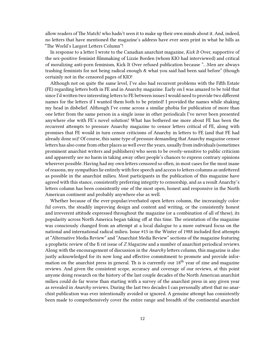allow readers of The Match! who hadn't seen it to make up their own minds about it. And, indeed, no letters that have mentioned the magazine's address have ever seen print in what he bills as "The World's Largest Letters Column"!

In response to a letter I wrote to the Canadian anarchist magazine, *Kick It* Over, supportive of the sex-positive feminist filmmaking of Lizzie Borden (whom KIO had interviewed) and critical of moralizing anti-porn feminism, Kick It Over refused publication because "…Men are always trashing feminists for not being radical enough & what you said had been said before" (though certainly not in the censored pages of KIO!

Although not on quite the same level, I've also had recurrent problems with the Fifth Estate (FE) regarding letters both in FE and in Anarchy magazine. Early on I was amazed to be told that since I'd written two interesting letters to FE between issues I would need to provide two different names for the letters if I wanted them both to be printed! I provided the names while shaking my head in disbelief. Although I've come across a similar phobia for publication of more than one letter from the same person in a single issue in other periodicals I've never been presented anywhere else with FE's novel solution! What has bothered me more about FE has been the recurrent attempts to pressure Anarchy magazine to censor letters critical of FE, along with promises that FE would in turn censor criticisms of Anarchy in letters to FE (and that FE had already done so)! Of course, this same type of pressure demanding that Anarchy magazine censor letters has also come from other places as well over the years, usually from individuals (sometimes prominent anarchist writers and publishers) who seem to be overly-sensitive to public criticism and apparently see no harm in taking away other people's chances to express contrary opinions wherever possible. Having had my own letters censored so often, in most cases for the most inane of reasons, my sympathies lie entirely with free speech and access to letters columns as unfettered as possible in the anarchist milieu. Most participants in the publication of this magazine have agreed with this stance, consistently preferring integrity to censorship, and as a result Anarchy's letters column has been consistently one of the most open, honest and responsive in the North American continent and probably anywhere else as well.

Whether because of the ever-popular/everhated open letters column, the increasingly colorful covers, the steadily improving design and content and writing, or the consistently honest and irreverent attitude expressed throughout the magazine (or a combination of all of these), its popularity across North America began taking off at this time. The orientation of the magazine was consciously changed from an attempt at a local dialogue to a more outward focus on the national and international radical milieu. Issue #15 in the Winter of 1988 included first attempts at "Alternative Media Review" and "Anarchist Media Review" sections of the magazine featuring a prophetic review of the fi rst issue of *Z Magazine* and a number of anarchist periodical reviews. Along with the encouragement of discussion in the *Anarchy* letters column, this magazine is also justly acknowledged for its now long and effective commitment to promote and provide information on the anarchist press in general. Th is is currently our 18<sup>th</sup> year of zine and magazine reviews. And given the consistent scope, accuracy and coverage of our reviews, at this point anyone doing research on the history of the last couple decades of the North American anarchist milieu could do far worse than starting with a survey of the anarchist press in any given year as revealed in *Anarchy* reviews. During the last two decades I can personally attest that no anarchist publication was ever intentionally avoided or ignored. A genuine attempt has consistently been made to comprehensively cover the entire range and breadth of the continental anarchist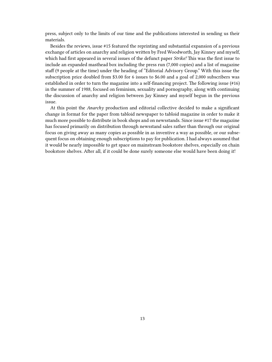press, subject only to the limits of our time and the publications interested in sending us their materials.

Besides the reviews, issue #15 featured the reprinting and substantial expansion of a previous exchange of articles on anarchy and religion written by Fred Woodworth, Jay Kinney and myself, which had first appeared in several issues of the defunct paper *Strike!* This was the first issue to include an expanded masthead box including the press run (7,000 copies) and a list of magazine staff (9 people at the time) under the heading of "Editorial Advisory Group." With this issue the subscription price doubled from \$3.00 for 6 issues to \$6.00 and a goal of 2,000 subscribers was established in order to turn the magazine into a self-financing project. The following issue (#16) in the summer of 1988, focused on feminism, sexuality and pornography, along with continuing the discussion of anarchy and religion between Jay Kinney and myself begun in the previous issue.

At this point the *Anarchy* production and editorial collective decided to make a significant change in format for the paper from tabloid newspaper to tabloid magazine in order to make it much more possible to distribute in book shops and on newsstands. Since issue #17 the magazine has focused primarily on distribution through newsstand sales rather than through our original focus on giving away as many copies as possible in as inventive a way as possible, or our subsequent focus on obtaining enough subscriptions to pay for publication. I had always assumed that it would be nearly impossible to get space on mainstream bookstore shelves, especially on chain bookstore shelves. After all, if it could be done surely someone else would have been doing it!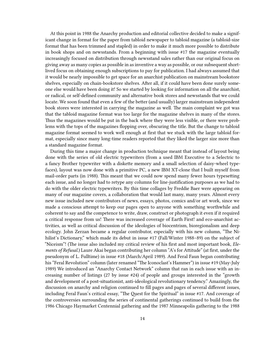At this point in 1988 the Anarchy production and editorial collective decided to make a significant change in format for the paper from tabloid newspaper to tabloid magazine (a tabloid-size format that has been trimmed and stapled) in order to make it much more possible to distribute in book shops and on newsstands. From a beginning with issue #17 the magazine eventually increasingly focused on distribution through newsstand sales rather than our original focus on giving away as many copies as possible in as inventive a way as possible, or our subsequent shortlived focus on obtaining enough subscriptions to pay for publication. I had always assumed that it would be nearly impossible to get space for an anarchist publication on mainstream bookstore shelves, especially on chain-bookstore shelves. After all, if it could have been done surely someone else would have been doing it! So we started by looking for information on all the anarchist, or radical, or self-defined community and alternative book stores and newsstands that we could locate. We soon found that even a few of the better (and usually) larger mainstream independent book stores were interested in carrying the magazine as well. The main complaint we got was that the tabloid magazine format was too large for the magazine shelves in many of the stores. Thus the magazines would be put in the back where they were less visible, or there were problems with the tops of the magazines flopping over, obscuring the title. But the change to tabloid magazine format seemed to work well enough at first that we stuck with the large tabloid format, especially since many long-time readers reported that they liked the larger size more than a standard magazine format.

During this time a major change in production technique meant that instead of layout being done with the series of old electric typewriters (from a used IBM Executive to a Selectric to a fancy Brother typewriter with a diskette memory and a small selection of daisy-wheel typefaces), layout was now done with a primitive PC, a new IBM XT-clone that I built myself from mail-order parts (in 1988). This meant that we could now spend many fewer hours typesetting each issue, and no longer had to retype any columns for line-justification purposes as we had to do with the older electric typewriters. By this time collages by Freddie Baer were appearing on many of our magazine covers, a collaboration that would last many, many years. Almost every new issue included new contributors of news, essays, photos, comics and/or art work, since we made a conscious attempt to keep our pages open to anyone with something worthwhile and coherent to say and the competence to write, draw, construct or photograph it even if it required a critical response from us! There was increased coverage of Earth First! and eco-anarchist activities, as well as critical discussion of the ideologies of biocentrism, bioregionalism and deep ecology. John Zerzan became a regular contributor, especially with his new column, "The Nihilist's Dictionary," which made its debut in issue #17 (Fall/Winter 1988–89) on the subject of "Niceism"! (The issue also included my critical review of his first and most important book, *Elements of Refusal*.) Laure Akai began contributing her column "A's for Attitude" (at first, under the pseudonym of L. Fulltime) in issue #18 (March/April 1989). And Feral Faun began contributing his "Feral Revolution" column (later renamed "The Iconoclast's Hammer") in issue #19 (May-July 1989) We introduced an "Anarchy Contact Network" column that ran in each issue with an increasing number of listings (27 by issue #24) of people and groups interested in the "growth and development of a post-situationist, anti-ideological revolutionary tendency." Amazingly, the discussion on anarchy and religion continued to fill pages and pages of several different issues, including Feral Faun's critical essay, "The Quest for the Spiritual" in issue #17. And coverage of the controversies surrounding the series of continental gatherings continued to build from the 1986 Chicago Haymarket Centennial gathering and the 1987 Minneapolis gathering to the 1988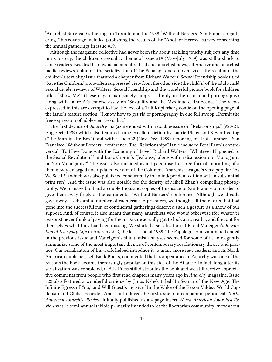"Anarchist Survival Gathering" in Toronto and the 1989 "Without Borders" San Francisco gathering. This coverage included publishing the results of the "Another Heresy" survey concerning the annual gatherings in issue #19.

Although the magazine collective had never been shy about tackling touchy subjects any time in its history, the children's sexuality theme of issue #19 (May-July 1989) was still a shock to some readers. Besides the now usual mix of radical and anarchist news, alternative and anarchist media reviews, columns, the serialization of The Papalagi, and an oversized letters column, the children's sexuality issue featured a chapter from Richard Walters' Sexual Friendship book titled "Save the Children," a too-often suppressed view from the other side (the child's) of the adult/child sexual divide, reviews of Walters' Sexual Friendship and the wonderful picture book for children titled "Show Me!" (these days it is insanely suppressed only in the us as child pornography), along with Laure A.'s concise essay on "Sexuality and the Mystique of Innocence." The views expressed in this are exemplified by the text of a Tuli Kupferberg comic on the opening page of the issue's feature section: "I know how to get rid of pornography in one fell swoop…Permit the free expression of adolescent sexuality."

The first decade of *Anarchy* magazine ended with a double-issue on "Relationships" (#20-21/ Aug.-Oct. 1989) which also featured some excellent fiction by Laurie Ulster and Kevin Keating ("The Man in the Box") and with issue #22 (Nov.-Dec. 1989) reporting on that summer's San Francisco "Without Borders" conference. The "Relationships" issue included Feral Faun's controversial "To Have Done with the Economy of Love," Richard Walters' "Whatever Happened to the Sexual Revolution?" and Isaac Cronin's "Jealousy," along with a discussion on "Monogamy or Non-Monogamy?" The issue also included as a 4-page insert a large-format reprinting of a then newly enlarged and updated version of the Columbia Anarchist League's very popular "As We See It!" (which was also published concurrently in an independent edition with a substantial print run). And the issue was also notable for the density of Mikell Zhan's compelling photography. We managed to haul a couple thousand copies of this issue to San Francisco in order to give them away freely at the continental "Without Borders" conference. Although we already gave away a substantial number of each issue to prisoners, we thought all the efforts that had gone into the successful run of continental gatherings deserved such a gesture as a show of our support. And, of course, it also meant that many anarchists who would otherwise (for whatever reasons) never think of paying for the magazine actually got to look at it, read it, and find out for themselves what they had been missing. We started a serialization of Raoul Vaneigem's *Revolution of Everyday Life* in Anarchy #22, the last issue of 1989. The Papalagi serialization had ended in the previous issue and Vaneigem's situationist analyses seemed for some of us to elegantly summarize some of the most important themes of contemporary revolutionary theory and practice. Our serialization of his work helped introduce it to many more new readers, and its North American publisher, Left Bank Books, commented that its appearance in Anarchy was one of the reasons the book became increasingly popular on this side of the Atlantic. In fact, long after its serialization was completed, C.A.L. Press still distributes the book and we still receive appreciative comments from people who first read chapters many years ago in *Anarchy* magazine. Issue #22 also featured a wonderful critique by Janos Nehek titled "In Search of the New Age: The Infinite Egress of You," and Will Guest's incisive "In the Wake of the Exxon Valdez: World Capitalism and Global Ecocide." And it introduced the first issue of a companion periodical, *North American Anarchist Review*, initially published as a 4-page insert. *North American Anarchist Review* was "a semi-annual tabloid primarily intended to let the libertarian community know about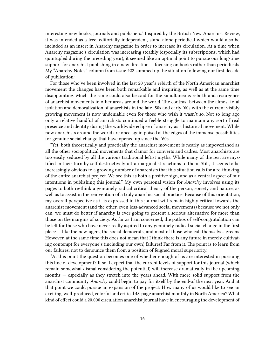interesting new books, journals and publishers." Inspired by the British New Anarchist Review, it was intended as a free, editorially-independent, stand-alone periodical which would also be included as an insert in Anarchy magazine in order to increase its circulation. At a time when Anarchy magazine's circulation was increasing steadily (especially its subscriptions, which had quintupled during the preceding year), it seemed like an optimal point to pursue our long-time support for anarchist publishing in a new direction — focusing on books rather than periodicals. My "Anarchy Notes" column from issue #22 summed up the situation following our first decade of publication:

For those who've been involved in the last 20 year's rebirth of the North American anarchist movement the changes have been both remarkable and inspiring, as well as at the same time disappointing. Much the same could also be said for the simultaneous rebirth and resurgence of anarchist movements in other areas around the world. The contrast between the almost total isolation and demoralization of anarchists in the late '50s and early '60s with the current visibly growing movement is now undeniable even for those who wish it wasn't so. Not so long ago only a relative handful of anarchists continued a feeble struggle to maintain any sort of real presence and identity during the worldwide eclipse of anarchy as a historical movement. While now anarchists around the world are once again poised at the edges of the immense possibilities for genuine social change that have opened up since the '60s.

"Yet, both theoretically and practically the anarchist movement is nearly as impoverished as all the other sociopolitical movements that clamor for converts and cadres. Most anarchists are too easily seduced by all the various traditional leftist myths. While many of the rest are mystified in their turn by self-destructively ultra-marginalist reactions to them. Still, it seems to be increasingly obvious to a growing number of anarchists that this situation calls for a re-thinking of the entire anarchist project. We see this as both a positive sign, and as a central aspect of our intentions in publishing this journal." My own personal vision for *Anarchy* involves using its pages to both re-think a genuinely radical critical theory of the person, society and nature, as well as to assist in the reinvention of a truly anarchic social practice. Because of this orientation, my overall perspective as it is expressed in this journal will remain highly critical towards the anarchist movement (and the other, even less-advanced social movements) because we not only can, we must do better if anarchy is ever going to present a serious alternative for more than those on the margins of society. As far as I am concerned, the pathos of self-congratulation can be left for those who have never really aspired to any genuinely radical social change in the first place — like the new-agers, the social democrats, and most of those who call themselves greens. However, at the same time this does not mean that I think there is any future in merely cultivating contempt for everyone's (including our own) failures! Far from it. The point is to learn from our failures, not to denounce them from a position of feigned moral superiority.

"At this point the question becomes one of whether enough of us are interested in pursuing this line of development? If so, I expect that the current levels of support for this journal (which remain somewhat dismal considering the potential) will increase dramatically in the upcoming months — especially as they stretch into the years ahead. With more solid support from the anarchist community *Anarchy* could begin to pay for itself by the end-of the next year. And at that point we could pursue an expansion of the project: How many of us would like to see an exciting, well-produced, colorful and critical 48-page anarchist monthly in North America? What kind of effect could a 20,000 circulation anarchist journal have in encouraging the development of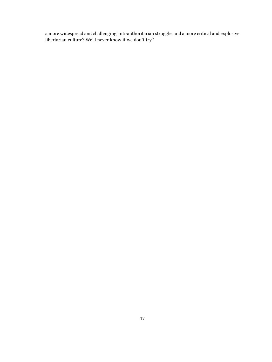a more widespread and challenging anti-authoritarian struggle, and a more critical and explosive libertarian culture? We'll never know if we don't try."